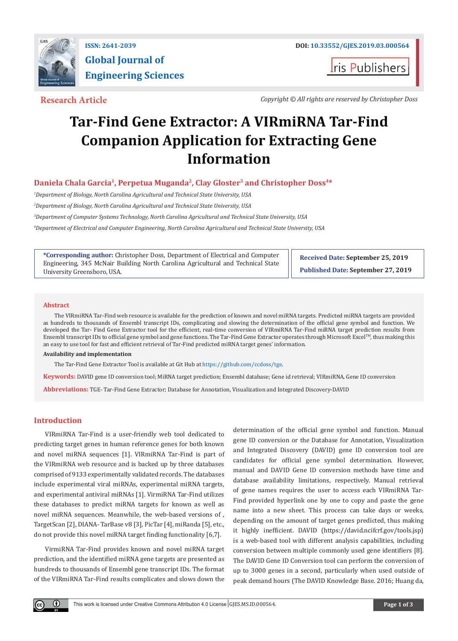

**I**ris Publishers

**Research Article** *Copyright © All rights are reserved by Christopher Doss*

# **Tar-Find Gene Extractor: A VIRmiRNA Tar-Find Companion Application for Extracting Gene Information**

# **Daniela Chala Garcia<sup>1</sup>, Perpetua Muganda<sup>2</sup>, Clay Gloster<sup>3</sup> and Christopher Doss<sup>4\*</sup>**

*1 Department of Biology, North Carolina Agricultural and Technical State University, USA* 

*2 Department of Biology, North Carolina Agricultural and Technical State University, USA*

*3 Department of Computer Systems Technology, North Carolina Agricultural and Technical State University, USA*

*4 Department of Electrical and Computer Engineering, North Carolina Agricultural and Technical State University, USA*

**\*Corresponding author:** Christopher Doss, Department of Electrical and Computer Engineering, 345 McNair Building North Carolina Agricultural and Technical State University Greensboro, USA.

**Received Date: September 25, 2019 Published Date: September 27, 2019**

### **Abstract**

The VIRmiRNA Tar-Find web resource is available for the prediction of known and novel miRNA targets. Predicted miRNA targets are provided as hundreds to thousands of Ensembl transcript IDs, complicating and slowing the determination of the official gene symbol and function. We developed the Tar- Find Gene Extractor tool for the efficient, real-time conversion of VIRmiRNA Tar-Find miRNA target prediction results from Ensembl transcript IDs to official gene symbol and gene functions. The Tar-Find Gene Extractor operates through Microsoft Excel™, thus making this an easy to use tool for fast and efficient retrieval of Tar-Find predicted miRNA target genes' information.

#### **Availability and implementation**

The Tar-Find Gene Extractor Tool is available at Git Hub a[t https://github.com/ccdoss/tge](https://github.com/ccdoss/tge).

**Keywords:** DAVID gene ID conversion tool; MiRNA target prediction; Ensembl database; Gene id retrieval; VIRmiRNA, Gene ID conversion

**Abbreviations:** TGE- Tar-Find Gene Extractor; Database for Annotation, Visualization and Integrated Discovery-DAVID

# **Introduction**

VIRmiRNA Tar-Find is a user-friendly web tool dedicated to predicting target genes in human reference genes for both known and novel miRNA sequences [1]. VIRmiRNA Tar-Find is part of the VIRmiRNA web resource and is backed up by three databases comprised of 9133 experimentally validated records. The databases include experimental viral miRNAs, experimental miRNA targets, and experimental antiviral miRNAs [1]. VirmiRNA Tar-Find utilizes these databases to predict miRNA targets for known as well as novel miRNA sequences. Meanwhile, the web-based versions of , TargetScan [2], DIANA- TarBase v8 [3], PicTar [4], miRanda [5], etc., do not provide this novel miRNA target finding functionality [6,7].

VirmiRNA Tar-Find provides known and novel miRNA target prediction, and the identified miRNA gene targets are presented as hundreds to thousands of Ensembl gene transcript IDs. The format of the VIRmiRNA Tar-Find results complicates and slows down the

determination of the official gene symbol and function. Manual gene ID conversion or the Database for Annotation, Visualization and Integrated Discovery (DAVID) gene ID conversion tool are candidates for official gene symbol determination. However, manual and DAVID Gene ID conversion methods have time and database availability limitations, respectively. Manual retrieval of gene names requires the user to access each VIRmiRNA Tar-Find provided hyperlink one by one to copy and paste the gene name into a new sheet. This process can take days or weeks, depending on the amount of target genes predicted, thus making it highly inefficient. DAVID (https://david.ncifcrf.gov/tools.jsp) is a web-based tool with different analysis capabilities, including conversion between multiple commonly used gene identifiers [8]. The DAVID Gene ID Conversion tool can perform the conversion of up to 3000 genes in a second, particularly when used outside of peak demand hours (The DAVID Knowledge Base. 2016; Huang da,

 $\left( \cdot \right)$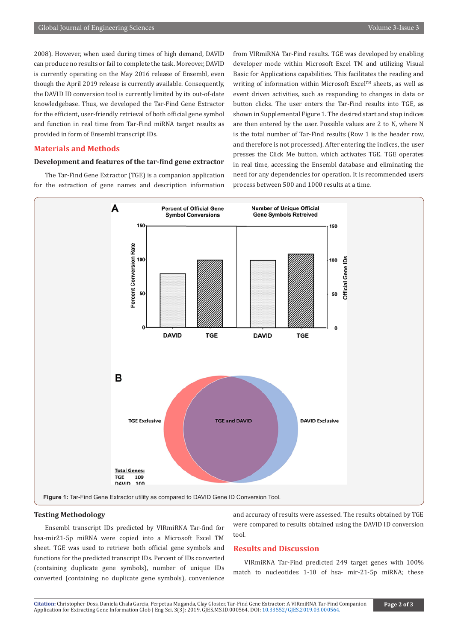2008). However, when used during times of high demand, DAVID can produce no results or fail to complete the task. Moreover, DAVID is currently operating on the May 2016 release of Ensembl, even though the April 2019 release is currently available. Consequently, the DAVID ID conversion tool is currently limited by its out-of-date knowledgebase. Thus, we developed the Tar-Find Gene Extractor for the efficient, user-friendly retrieval of both official gene symbol and function in real time from Tar-Find miRNA target results as provided in form of Ensembl transcript IDs.

# **Materials and Methods**

# **Development and features of the tar-find gene extractor**

The Tar-Find Gene Extractor (TGE) is a companion application for the extraction of gene names and description information from VIRmiRNA Tar-Find results. TGE was developed by enabling developer mode within Microsoft Excel TM and utilizing Visual Basic for Applications capabilities. This facilitates the reading and writing of information within Microsoft Excel<sup>™</sup> sheets, as well as event driven activities, such as responding to changes in data or button clicks. The user enters the Tar-Find results into TGE, as shown in Supplemental Figure 1. The desired start and stop indices are then entered by the user. Possible values are 2 to N, where N is the total number of Tar-Find results (Row 1 is the header row, and therefore is not processed). After entering the indices, the user presses the Click Me button, which activates TGE. TGE operates in real time, accessing the Ensembl database and eliminating the need for any dependencies for operation. It is recommended users process between 500 and 1000 results at a time.



### **Testing Methodology**

Ensembl transcript IDs predicted by VIRmiRNA Tar-find for hsa-mir21-5p miRNA were copied into a Microsoft Excel TM sheet. TGE was used to retrieve both official gene symbols and functions for the predicted transcript IDs. Percent of IDs converted (containing duplicate gene symbols), number of unique IDs converted (containing no duplicate gene symbols), convenience and accuracy of results were assessed. The results obtained by TGE were compared to results obtained using the DAVID ID conversion tool.

# **Results and Discussion**

VIRmiRNA Tar-Find predicted 249 target genes with 100% match to nucleotides 1-10 of hsa- mir-21-5p miRNA; these